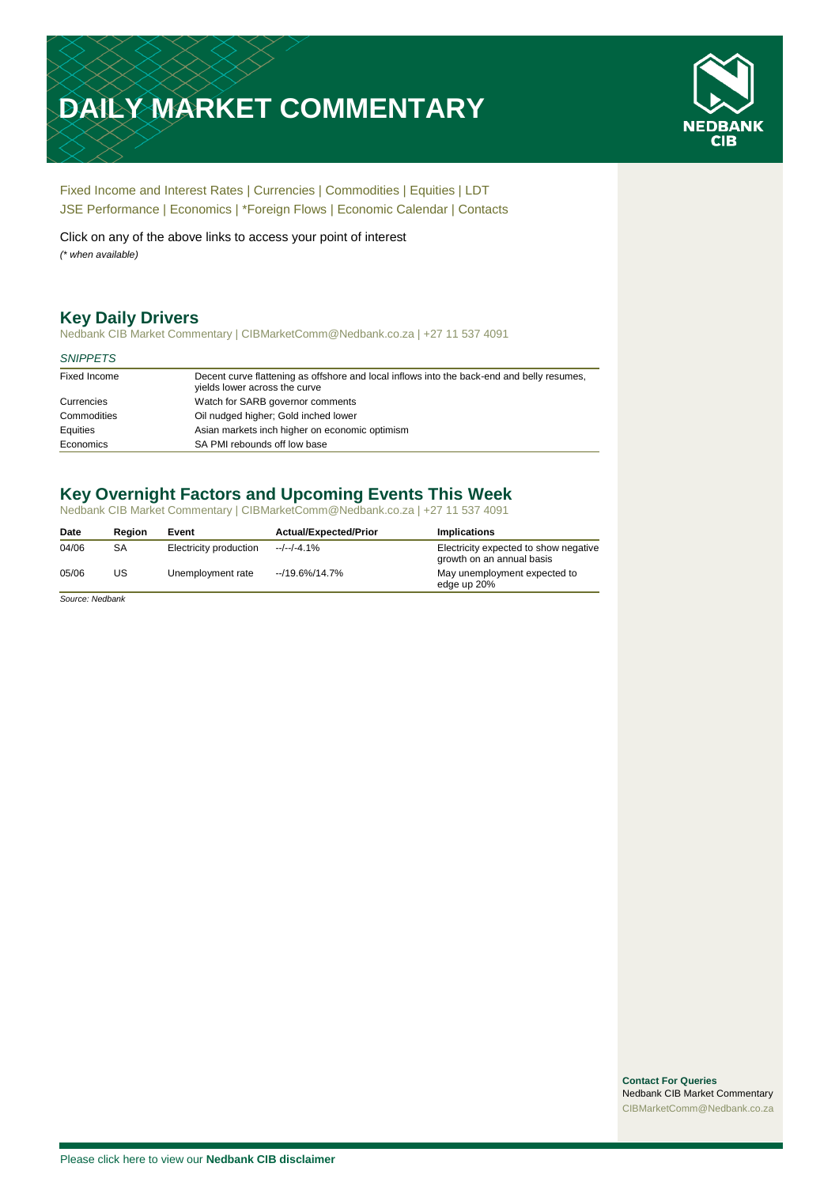# **DAILY MARKET COMMENTARY**



[Fixed Income and Interest Rates](#page-1-0) | [Currencies](#page-2-0) | [Commodities](#page-3-0) [| Equities](#page-4-0) | [LDT](#page-5-0) [JSE Performance](#page-6-0) [| Economics](#page-7-0) | [\\*Foreign Flows](#page-8-0) | [Economic Calendar](#page-9-0) | [Contacts](#page-10-0)

Click on any of the above links to access your point of interest *(\* when available)*

## **Key Daily Drivers**

Nedbank CIB Market Commentary | CIBMarketComm@Nedbank.co.za | +27 11 537 4091

#### *SNIPPETS*

| Fixed Income | Decent curve flattening as offshore and local inflows into the back-end and belly resumes,<br>yields lower across the curve |
|--------------|-----------------------------------------------------------------------------------------------------------------------------|
| Currencies   | Watch for SARB governor comments                                                                                            |
| Commodities  | Oil nudged higher; Gold inched lower                                                                                        |
| Equities     | Asian markets inch higher on economic optimism                                                                              |
| Economics    | SA PMI rebounds off low base                                                                                                |

# **Key Overnight Factors and Upcoming Events This Week**

Nedbank CIB Market Commentary | CIBMarketComm@Nedbank.co.za | +27 11 537 4091

| Date  | Region | Event                  | <b>Actual/Expected/Prior</b> | <b>Implications</b>                                                |
|-------|--------|------------------------|------------------------------|--------------------------------------------------------------------|
| 04/06 | SА     | Electricity production | $-/-/-4.1%$                  | Electricity expected to show negative<br>growth on an annual basis |
| 05/06 | US     | Unemployment rate      | $-19.6\%/14.7\%$             | May unemployment expected to<br>edge up 20%                        |

*Source: Nedbank*

**Contact For Queries** Nedbank CIB Market Commentary [CIBMarketComm@Nedbank.co.za](file:///C:/Users/Paul-Rose/AppData/Roaming/Bluecurve/templates/CIBMarketComm@Nedbank.co.za)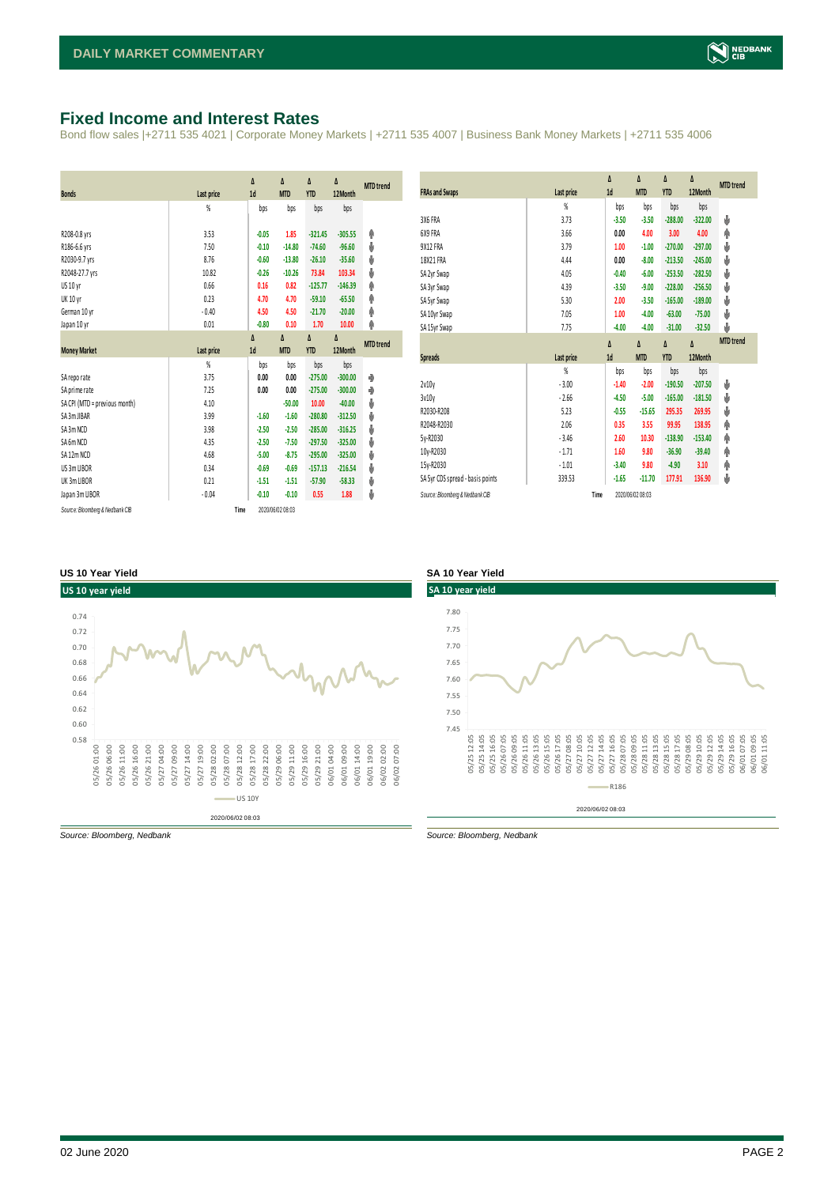#### <span id="page-1-0"></span>**Fixed Income and Interest Rates**

Bond flow sales |+2711 535 4021 | Corporate Money Markets | +2711 535 4007 | Business Bank Money Markets | +2711 535 4006

|                                 |            | Δ       | Δ                | Δ          | Δ         | <b>MTD</b> trend |
|---------------------------------|------------|---------|------------------|------------|-----------|------------------|
| <b>Bonds</b>                    | Last price | 1d      | <b>MTD</b>       | <b>YTD</b> | 12Month   |                  |
|                                 | %          | bps     | bps              | bps        | bps       |                  |
| R208-0.8 yrs                    | 3.53       | $-0.05$ | 1.85             | $-321.45$  | $-305.55$ | Φ                |
| R186-6.6 yrs                    | 7.50       | $-0.10$ | $-14.80$         | $-74.60$   | $-96.60$  | ψ                |
| R2030-9.7 yrs                   | 8.76       | $-0.60$ | $-13.80$         | $-26.10$   | $-35.60$  | ψ                |
| R2048-27.7 yrs                  | 10.82      | $-0.26$ | $-10.26$         | 73.84      | 103.34    | ψ                |
| US 10 yr                        | 0.66       | 0.16    | 0.82             | $-125.77$  | $-146.39$ | φ                |
| <b>UK 10 yr</b>                 | 0.23       | 4.70    | 4.70             | $-59.10$   | $-65.50$  | φ                |
| German 10 yr                    | $-0.40$    | 4.50    | 4.50             | $-21.70$   | $-20.00$  | φ                |
| Japan 10 yr                     | 0.01       | $-0.80$ | 0.10             | 1.70       | 10.00     | φ                |
|                                 |            | Δ       | Δ                | Δ          | Δ         | <b>MTD</b> trend |
| <b>Money Market</b>             | Last price | 1d      | <b>MTD</b>       | <b>YTD</b> | 12Month   |                  |
|                                 | %          | bps     | bps              | bps        | bps       |                  |
| SA reporate                     | 3.75       | 0.00    | 0.00             | $-275.00$  | $-300.00$ | ۰                |
| SA prime rate                   | 7.25       | 0.00    | 0.00             | $-275.00$  | $-300.00$ | ۰                |
| SA CPI (MTD = previous month)   | 4.10       |         | $-50.00$         | 10.00      | $-40.00$  | ψ                |
| SA 3m JIBAR                     | 3.99       | $-1.60$ | $-1.60$          | $-280.80$  | $-312.50$ | ψ                |
| SA 3m NCD                       | 3.98       | $-2.50$ | $-2.50$          | $-285.00$  | $-316.25$ | ψ                |
| SA 6m NCD                       | 4.35       | $-2.50$ | $-7.50$          | $-297.50$  | $-325.00$ | ψ                |
| SA 12m NCD                      | 4.68       | $-5.00$ | $-8.75$          | $-295.00$  | $-325.00$ | ψ                |
| US 3m LIBOR                     | 0.34       | $-0.69$ | $-0.69$          | $-157.13$  | $-216.54$ | ψ                |
| UK 3m LIBOR                     | 0.21       | $-1.51$ | $-1.51$          | $-57.90$   | $-58.33$  | ψ                |
| Japan 3m LIBOR                  | $-0.04$    | $-0.10$ | $-0.10$          | 0.55       | 1.88      | ψ                |
| Source: Bloomberg & Nedbank CIB | Time       |         | 2020/06/02 08:03 |            |           |                  |

| <b>FRAs and Swaps</b>            | Last price | Δ<br>1d        | Δ<br><b>MTD</b> | Δ<br><b>YTD</b> | Δ<br>12Month | <b>MTD</b> trend |
|----------------------------------|------------|----------------|-----------------|-----------------|--------------|------------------|
|                                  | %          | bps            | bps             | bps             | bps          |                  |
| 3X6 FRA                          | 3.73       | $-3.50$        | $-3.50$         | $-288.00$       | $-322.00$    | ψ                |
| 6X9 FRA                          | 3.66       | 0.00           | 4.00            | 3.00            | 4.00         | φ                |
| <b>9X12 FRA</b>                  | 3.79       | 1.00           | $-1.00$         | $-270.00$       | $-297.00$    | ψ                |
| 18X21 FRA                        | 4.44       | 0.00           | $-8.00$         | $-213.50$       | $-245.00$    | Ů                |
| SA 2yr Swap                      | 4.05       | $-0.40$        | $-6.00$         | $-253.50$       | $-282.50$    | ψ                |
| SA 3yr Swap                      | 4.39       | $-3.50$        | $-9.00$         | $-228.00$       | $-256.50$    | Ů                |
| SA 5yr Swap                      | 5.30       | 2.00           | $-3.50$         | $-165.00$       | $-189.00$    | ψ                |
| SA 10yr Swap                     | 7.05       | 1.00           | $-4.00$         | $-63.00$        | $-75.00$     | ψ                |
| SA 15yr Swap                     | 7.75       | $-4.00$        | $-4.00$         | $-31.00$        | $-32.50$     | ψ                |
|                                  |            | Δ              | Δ               | Δ               | Δ            | <b>MTD</b> trend |
| <b>Spreads</b>                   | Last price | 1 <sub>d</sub> | <b>MTD</b>      | <b>YTD</b>      | 12Month      |                  |
|                                  |            |                |                 |                 |              |                  |
|                                  | %          | bps            | bps             | bps             | bps          |                  |
| 2v10v                            | $-3.00$    | $-1.40$        | $-2.00$         | $-190.50$       | $-207.50$    | Ů                |
| 3v10v                            | $-2.66$    | $-4.50$        | $-5.00$         | $-165.00$       | $-181.50$    | ψ                |
| R2030-R208                       | 5.23       | $-0.55$        | $-15.65$        | 295.35          | 269.95       | ψ                |
| R2048-R2030                      | 2.06       | 0.35           | 3.55            | 99.95           | 138.95       | φ                |
| 5y-R2030                         | $-3.46$    | 2.60           | 10.30           | $-138.90$       | $-153.40$    | Φ                |
| 10y-R2030                        | $-1.71$    | 1.60           | 9.80            | $-36.90$        | $-39.40$     | Φ                |
| 15y-R2030                        | $-1.01$    | $-3.40$        | 9.80            | $-4.90$         | 3.10         | φ                |
| SA 5yr CDS spread - basis points | 339.53     | $-1.65$        | $-11.70$        | 177.91          | 136.90       | ψ                |

#### **US 10 Year Yield SA 10 Year Yield**



*Source: Bloomberg, Nedbank Source: Bloomberg, Nedbank*

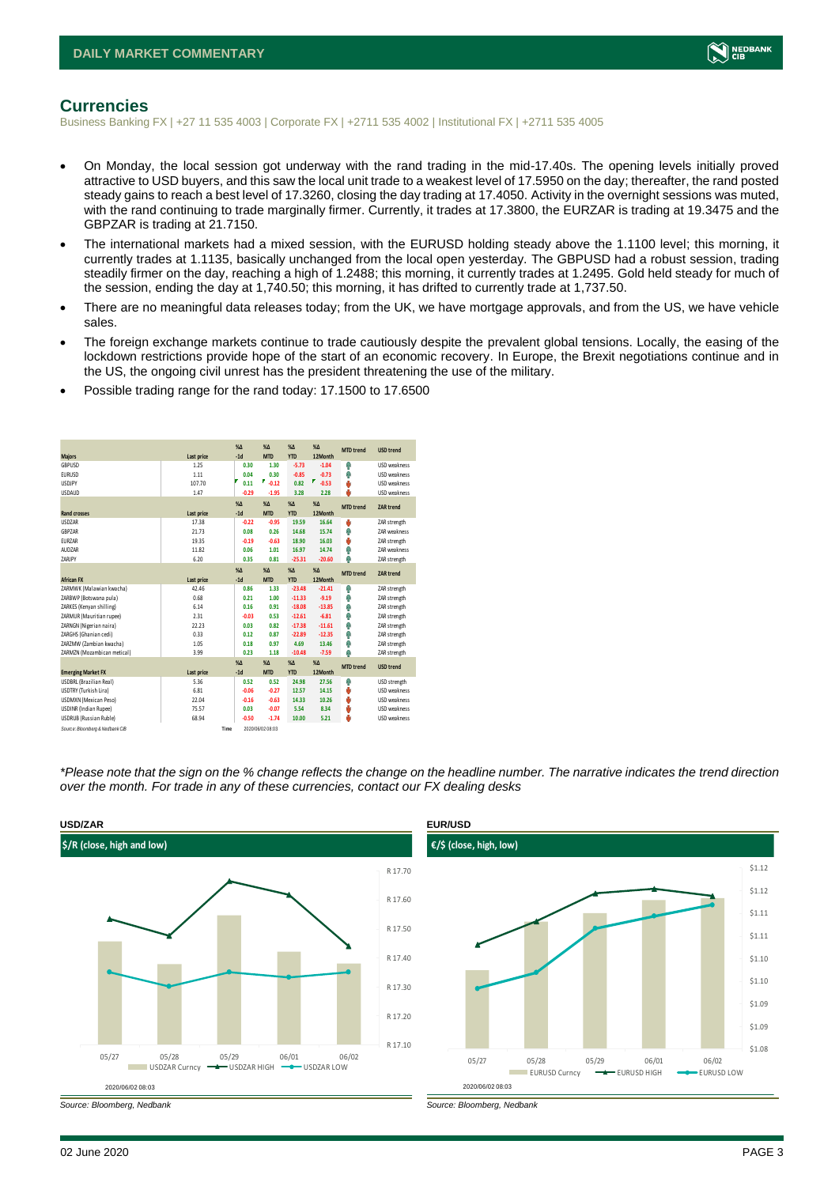

#### <span id="page-2-0"></span>**Currencies**

Business Banking FX | +27 11 535 4003 | Corporate FX | +2711 535 4002 | Institutional FX | +2711 535 4005

- On Monday, the local session got underway with the rand trading in the mid-17.40s. The opening levels initially proved attractive to USD buyers, and this saw the local unit trade to a weakest level of 17.5950 on the day; thereafter, the rand posted steady gains to reach a best level of 17.3260, closing the day trading at 17.4050. Activity in the overnight sessions was muted, with the rand continuing to trade marginally firmer. Currently, it trades at 17.3800, the EURZAR is trading at 19.3475 and the GBPZAR is trading at 21.7150.
- The international markets had a mixed session, with the EURUSD holding steady above the 1.1100 level; this morning, it currently trades at 1.1135, basically unchanged from the local open yesterday. The GBPUSD had a robust session, trading steadily firmer on the day, reaching a high of 1.2488; this morning, it currently trades at 1.2495. Gold held steady for much of the session, ending the day at 1,740.50; this morning, it has drifted to currently trade at 1,737.50.
- There are no meaningful data releases today; from the UK, we have mortgage approvals, and from the US, we have vehicle sales.
- The foreign exchange markets continue to trade cautiously despite the prevalent global tensions. Locally, the easing of the lockdown restrictions provide hope of the start of an economic recovery. In Europe, the Brexit negotiations continue and in the US, the ongoing civil unrest has the president threatening the use of the military.
- Possible trading range for the rand today: 17.1500 to 17.6500

| <b>Majors</b>                   | Last price | $X\Delta$<br>$-1d$ | $X\Lambda$<br><b>MTD</b> | $X\Lambda$<br><b>YTD</b> | $% \Delta$<br>12Month | <b>MTD</b> trend | <b>USD trend</b>    |
|---------------------------------|------------|--------------------|--------------------------|--------------------------|-----------------------|------------------|---------------------|
| GBPUSD                          | 1.25       | 0.30               | 1.30                     | $-5.73$                  | $-1.04$               | Φ                | <b>USD</b> weakness |
| <b>EURUSD</b>                   | 1.11       | 0.04               | 0.30                     | $-0.85$                  | $-0.73$               | Φ                | <b>USD</b> weakness |
| <b>USDJPY</b>                   | 107.70     | 0.11               | ₹<br>$-0.12$             | 0.82                     | F<br>$-0.53$          | O                | <b>USD</b> weakness |
| <b>USDAUD</b>                   | 1.47       | $-0.29$            | $-1.95$                  | 3.28                     | 2.28                  | ۵                | <b>USD</b> weakness |
|                                 |            | X <sub>A</sub>     | X <sub>A</sub>           | $X\Lambda$               | $% \Delta$            | <b>MTD</b> trend | <b>ZAR trend</b>    |
| <b>Rand crosses</b>             | Last price | $-1d$              | <b>MTD</b>               | <b>YTD</b>               | 12 Month              |                  |                     |
| <b>USDZAR</b>                   | 17.38      | $-0.22$            | $-0.95$                  | 19.59                    | 16.64                 | ŵ                | ZAR strength        |
| GBPZAR                          | 21.73      | 0.08               | 0.26                     | 14.68                    | 15.74                 | Φ                | ZAR weakness        |
| EURZAR                          | 19.35      | $-0.19$            | $-0.63$                  | 18.90                    | 16.03                 | O                | ZAR strength        |
| AUDZAR                          | 11.82      | 0.06               | 1.01                     | 16.97                    | 14.74                 | Φ                | ZAR weakness        |
| ZARJPY                          | 6.20       | 0.35               | 0.81                     | $-25.31$                 | $-20.60$              | Φ                | ZAR strength        |
|                                 |            | X <sub>A</sub>     | $X\Lambda$               | $\%$ $\Lambda$           | $% \Delta$            | <b>MTD</b> trend | <b>ZAR trend</b>    |
| <b>African FX</b>               | Last price | $-1d$              | <b>MTD</b>               | <b>YTD</b>               | 12 Month              |                  |                     |
| ZARMWK (Malawian kwacha)        | 42.46      | 0.86               | 1.33                     | $-23.48$                 | $-21.41$              | Φ                | ZAR strength        |
| ZARBWP (Botswana pula)          | 0.68       | 0.21               | 1.00                     | $-11.33$                 | $-9.19$               | Φ                | ZAR strength        |
| ZARKES (Kenyan shilling)        | 6.14       | 0.16               | 0.91                     | $-18.08$                 | $-13.85$              | Φ                | ZAR strength        |
| ZARMUR (Mauritian rupee)        | 2.31       | $-0.03$            | 0.53                     | $-12.61$                 | $-6.81$               | Φ                | ZAR strength        |
| ZARNGN (Nigerian naira)         | 22.23      | 0.03               | 0.82                     | $-17.38$                 | $-11.61$              | Φ                | ZAR strength        |
| ZARGHS (Ghanian cedi)           | 0.33       | 0.12               | 0.87                     | $-22.89$                 | $-12.35$              | Φ                | ZAR strength        |
| ZARZMW (Zambian kwacha)         | 1.05       | 0.18               | 0.97                     | 4.69                     | 13.46                 | Φ                | ZAR strength        |
| ZARMZN (Mozambican metical)     | 3.99       | 0.23               | 1.18                     | $-10.48$                 | $-7.59$               | Φ                | ZAR strength        |
|                                 |            | X <sub>A</sub>     | $X\Lambda$               | $X\Lambda$               | %                     | <b>MTD</b> trend | <b>USD trend</b>    |
| <b>Emerging Market FX</b>       | Last price | $-1d$              | <b>MTD</b>               | <b>YTD</b>               | 12 Month              |                  |                     |
| USDBRL (Brazilian Real)         | 5.36       | 0.52               | 0.52                     | 24.98                    | 27.56                 | Φ                | USD strength        |
| <b>USDTRY (Turkish Lira)</b>    | 6.81       | $-0.06$            | $-0.27$                  | 12.57                    | 14.15                 | O                | <b>USD</b> weakness |
| USDMXN (Mexican Peso)           | 22.04      | $-0.16$            | $-0.63$                  | 14.33                    | 10.26                 | O                | <b>USD</b> weakness |
| <b>USDINR</b> (Indian Rupee)    | 75.57      | 0.03               | $-0.07$                  | 5.54                     | 8.34                  | O                | <b>USD</b> weakness |
| <b>USDRUB</b> (Russian Ruble)   | 68.94      | $-0.50$            | $-1.74$                  | 10.00                    | 5.21                  | д                | <b>USD</b> weakness |
| Source: Bloomberg & Nedbank CIB | Time       |                    | 2020/06/02 08:03         |                          |                       |                  |                     |

*\*Please note that the sign on the % change reflects the change on the headline number. The narrative indicates the trend direction over the month. For trade in any of these currencies, contact our FX dealing desks*



<sup>2020/06/02 08:03</sup>  **€/\$ (close, high, low)** \$1.08 \$1.09 \$1.09 \$1.10 \$1.10 \$1.11 \$1.11 \$1.12 \$1.12 05/27 05/28 05/29 06/01 06/02 EURUSD Curncy **- EURUSD HIGH** EURUSD LOW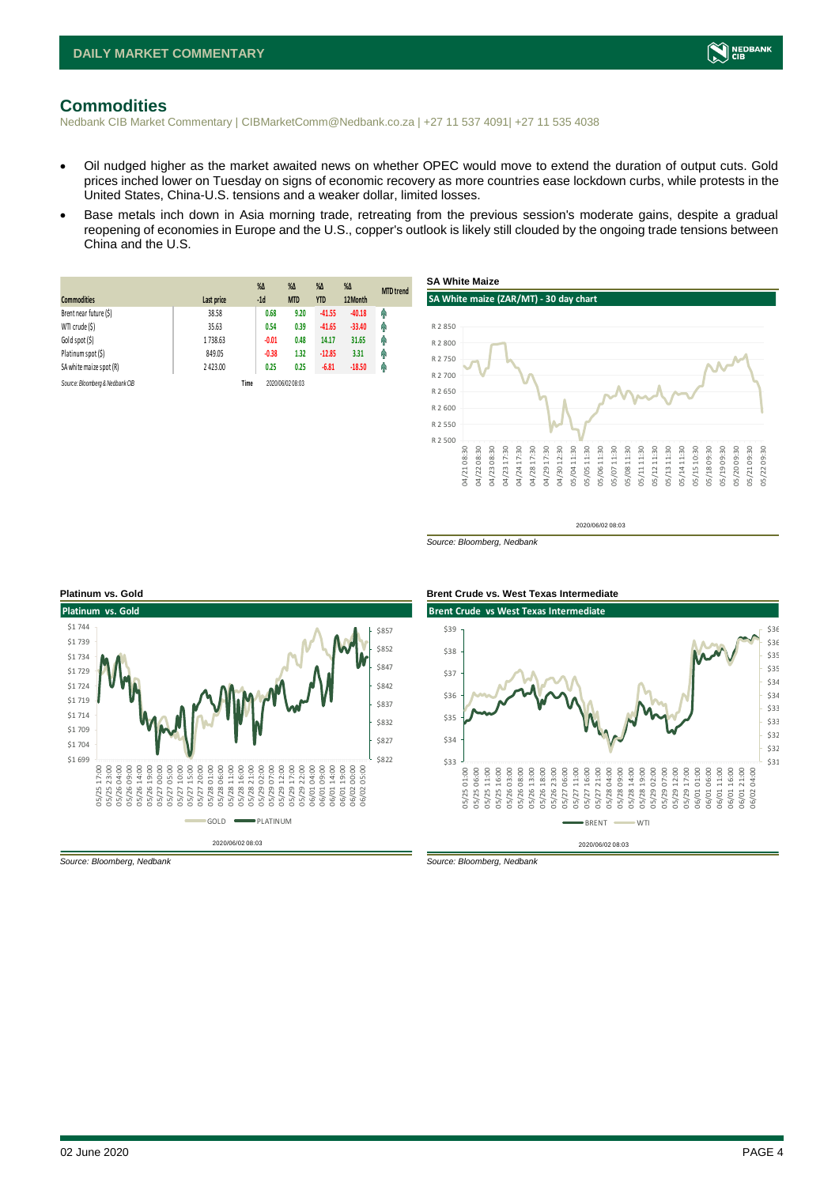

#### <span id="page-3-0"></span>**Commodities**

Nedbank CIB Market Commentary | CIBMarketComm@Nedbank.co.za | +27 11 537 4091| +27 11 535 4038

- Oil nudged higher as the market awaited news on whether OPEC would move to extend the duration of output cuts. Gold prices inched lower on Tuesday on signs of economic recovery as more countries ease lockdown curbs, while protests in the United States, China-U.S. tensions and a weaker dollar, limited losses.
- Base metals inch down in Asia morning trade, retreating from the previous session's moderate gains, despite a gradual reopening of economies in Europe and the U.S., copper's outlook is likely still clouded by the ongoing trade tensions between China and the U.S.

| <b>Commodities</b>              | Last price | $\%$ $\Delta$<br>$-1d$ | $\%$ $\Delta$<br><b>MTD</b> | $\%$ $\Delta$<br><b>YTD</b> | $\%$ $\Delta$<br>12Month | <b>MTD</b> trend |
|---------------------------------|------------|------------------------|-----------------------------|-----------------------------|--------------------------|------------------|
| Brent near future (\$)          | 38.58      | 0.68                   | 9.20                        | $-41.55$                    | $-40.18$                 | φ                |
| WTI crude (\$)                  | 35.63      | 0.54                   | 0.39                        | $-41.65$                    | $-33.40$                 | φ                |
| Gold spot (\$)                  | 1738.63    | $-0.01$                | 0.48                        | 14.17                       | 31.65                    | Φ                |
| Platinum spot (\$)              | 849.05     | $-0.38$                | 1.32                        | $-12.85$                    | 3.31                     | φ                |
| SA white maize spot (R)         | 2423.00    | 0.25                   | 0.25                        | $-6.81$                     | $-18.50$                 | φ                |
| Source: Bloomberg & Nedbank CIB |            | Time                   | 2020/06/02 08:03            |                             |                          |                  |



2020/06/02 08:03

*Source: Bloomberg, Nedbank*





*Source: Bloomberg, Nedbank Source: Bloomberg, Nedbank*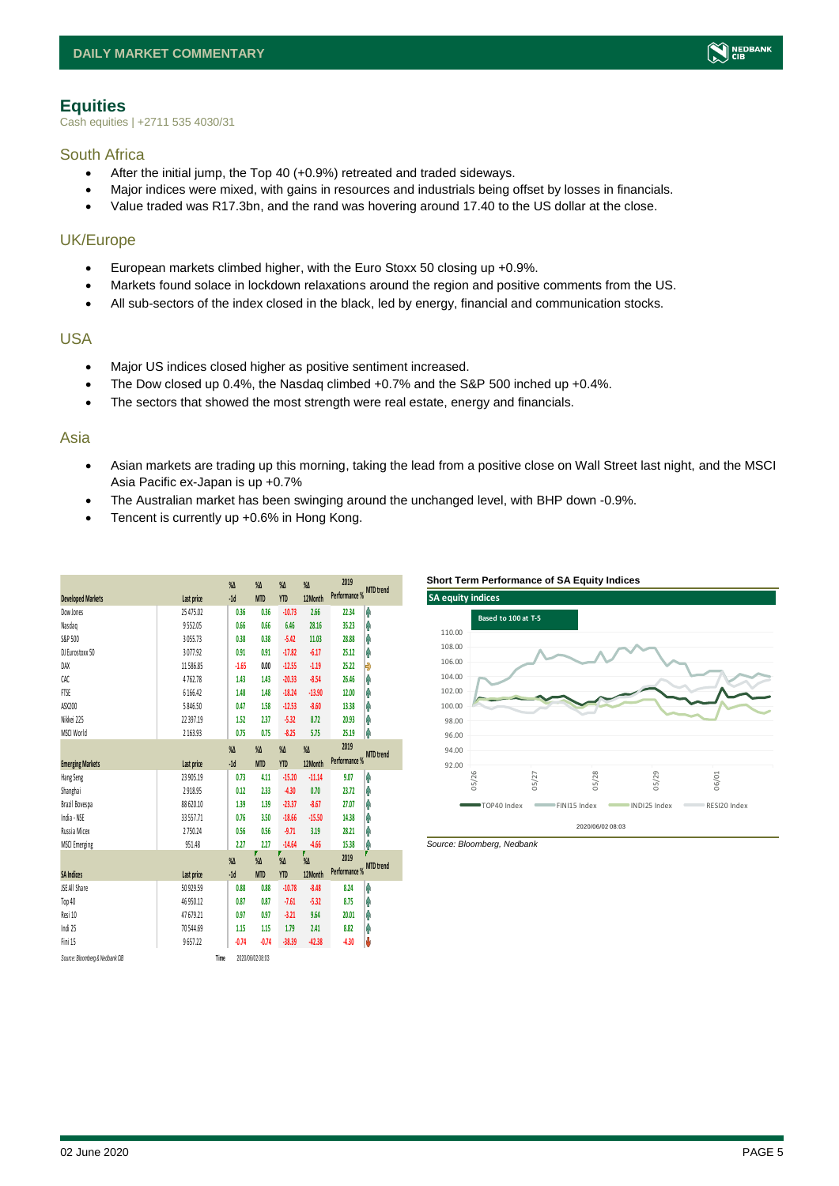#### <span id="page-4-0"></span>**Equities**

Cash equities | +2711 535 4030/31

#### South Africa

- After the initial jump, the Top 40 (+0.9%) retreated and traded sideways.
- Major indices were mixed, with gains in resources and industrials being offset by losses in financials.
- Value traded was R17.3bn, and the rand was hovering around 17.40 to the US dollar at the close.

### UK/Europe

- European markets climbed higher, with the Euro Stoxx 50 closing up +0.9%.
- Markets found solace in lockdown relaxations around the region and positive comments from the US.
- All sub-sectors of the index closed in the black, led by energy, financial and communication stocks.

#### USA

- Major US indices closed higher as positive sentiment increased.
- The Dow closed up  $0.4\%$ , the Nasdaq climbed  $+0.7\%$  and the S&P 500 inched up  $+0.4\%$ .
- The sectors that showed the most strength were real estate, energy and financials.

#### Asia

- Asian markets are trading up this morning, taking the lead from a positive close on Wall Street last night, and the MSCI Asia Pacific ex-Japan is up +0.7%
- The Australian market has been swinging around the unchanged level, with BHP down -0.9%.
- Tencent is currently up +0.6% in Hong Kong.

| <b>Developed Markets</b>        | Last price  |      | $\%$<br>$-1d$ | $\%$ $\Delta$<br><b>MTD</b> | $\%$ $\Delta$<br><b>YTD</b> | $\%$<br>12Month       | 2019<br>Performance % MTD trend |                       |
|---------------------------------|-------------|------|---------------|-----------------------------|-----------------------------|-----------------------|---------------------------------|-----------------------|
| Dow Jones                       | 25 47 5.02  |      | 0.36          | 0.36                        | $-10.73$                    | 2.66                  | 22.34                           | φ                     |
| Nasdaq                          | 9552.05     |      | 0.66          | 0.66                        | 6.46                        | 28.16                 | 35.23                           | φ                     |
| S&P 500                         | 3 0 5 5 .73 |      | 0.38          | 0.38                        | $-5.42$                     | 11.03                 | 28.88                           | φ                     |
| DJ Eurostoxx 50                 | 3077.92     |      | 0.91          | 0.91                        | $-17.82$                    | $-6.17$               | 25.12                           | φ                     |
| DAX                             | 11586.85    |      | $-1.65$       | 0.00                        | $-12.55$                    | $-1.19$               | 25.22                           | Đ                     |
| CAC                             | 4762.78     |      | 1.43          | 1.43                        | $-20.33$                    | $-8.54$               | 26.46                           | φ                     |
| <b>FTSE</b>                     | 6 166.42    |      | 1.48          | 1.48                        | $-18.24$                    | $-13.90$              | 12.00                           | φ                     |
| ASX200                          | 5 846.50    |      | 0.47          | 1.58                        | $-12.53$                    | $-8.60$               | 13.38                           | φ                     |
| Nikkei 225                      | 22 39 7.19  |      | 1.52          | 2.37                        | $-5.32$                     | 8.72                  | 20.93                           | φ                     |
| MSCI World                      | 2 163.93    |      | 0.75          | 0.75                        | $-8.25$                     | 5.75                  | 25.19                           | φ                     |
|                                 |             |      | $\%$          | $\%$ $\Delta$               | $\%$ $\Delta$               | $\sqrt{\Lambda}$      | 2019                            |                       |
| <b>Emerging Markets</b>         | Last price  |      | $-1d$         | <b>MTD</b>                  | <b>YTD</b>                  | 12Month               | Performance %                   | <b>MTD</b> trend      |
| Hang Seng                       | 23 905.19   |      | 0.73          | 4.11                        | $-15.20$                    | $-11.14$              | 9.07                            | φ                     |
| Shanghai                        | 2918.95     |      | 0.12          | 2.33                        | $-4.30$                     | 0.70                  | 23.72                           | φ                     |
| Brazil Bovespa                  | 88 620.10   |      | 1.39          | 1.39                        | $-23.37$                    | $-8.67$               | 27.07                           | φ                     |
| India - NSE                     | 33 557.71   |      | 0.76          | 3.50                        | $-18.66$                    | $-15.50$              | 14.38                           | φ                     |
| Russia Micex                    | 2750.24     |      | 0.56          | 0.56                        | $-9.71$                     | 3.19                  | 28.21                           | φ                     |
| <b>MSCI Emerging</b>            | 951.48      |      | 2.27          | 2.27                        | $-14.64$                    | $-4.66$               | 15.38                           | φ                     |
|                                 |             |      | $\%$          | $\sqrt{\Lambda}$            | %                           | F<br>$\sqrt{\Lambda}$ | 2019                            | Π<br><b>MTD</b> trend |
| <b>SA Indices</b>               | Last price  |      | $-1d$         | <b>MTD</b>                  | <b>YTD</b>                  | 12Month               | Performance %                   |                       |
| <b>ISE All Share</b>            | 50 929.59   |      | 0.88          | 0.88                        | $-10.78$                    | $-8.48$               | 8.24                            | Ą                     |
| Top 40                          | 46 950.12   |      | 0.87          | 0.87                        | $-7.61$                     | $-5.32$               | 8.75                            | φ                     |
| Resi 10                         | 47 679.21   |      | 0.97          | 0.97                        | $-3.21$                     | 9.64                  | 20.01                           | φ                     |
| Indi 25                         | 70544.69    |      | 1.15          | 1.15                        | 1.79                        | 2.41                  | 8.82                            | Ŷ                     |
| Fini 15                         | 9657.22     |      | $-0.74$       | $-0.74$                     | $-38.39$                    | -42.38                | $-4.30$                         | Ů                     |
| Source: Bloomberg & Nedbank CIB |             | Time |               | 2020/06/02 08:03            |                             |                       |                                 |                       |





*Source: Bloomberg, Nedbank*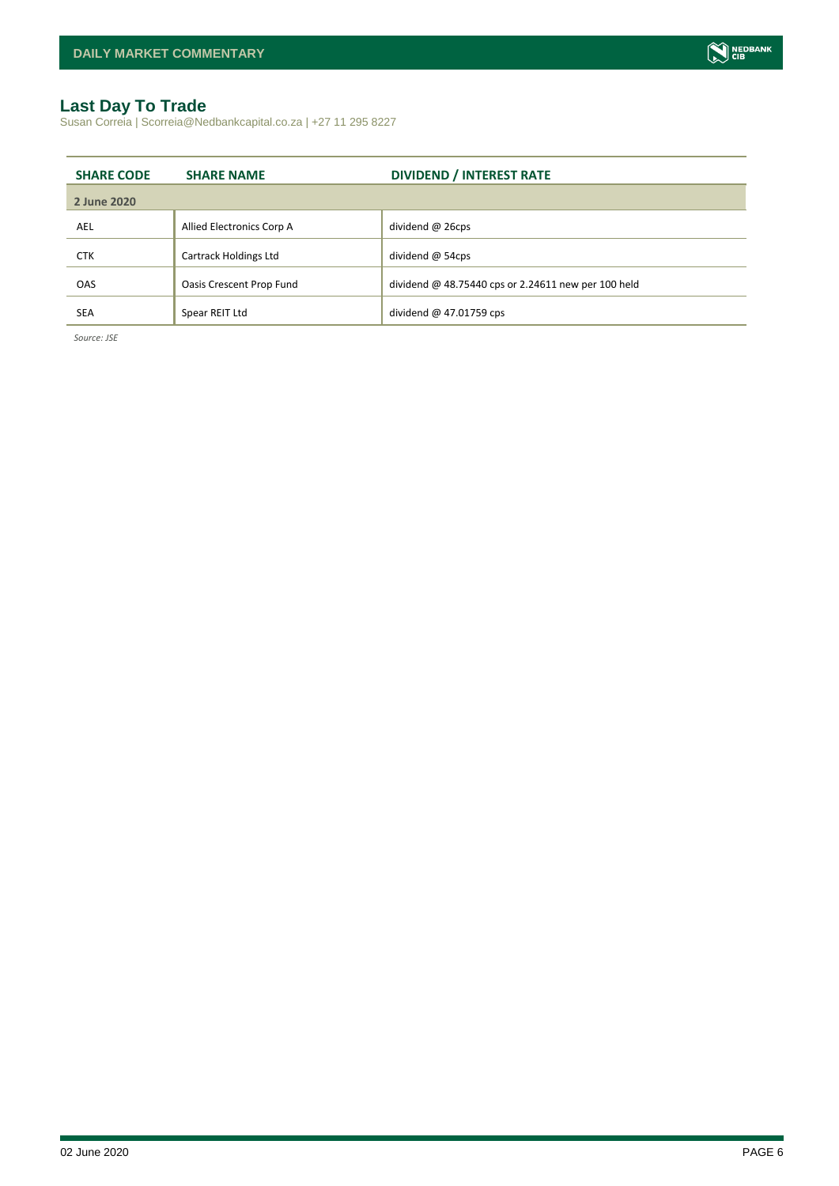#### <span id="page-5-0"></span>**Last Day To Trade**

Susan Correia | Scorreia@Nedbankcapital.co.za | +27 11 295 8227

| <b>SHARE CODE</b> | <b>SHARE NAME</b>         | <b>DIVIDEND / INTEREST RATE</b>                     |
|-------------------|---------------------------|-----------------------------------------------------|
| 2 June 2020       |                           |                                                     |
| AEL               | Allied Electronics Corp A | dividend @ 26cps                                    |
| <b>CTK</b>        | Cartrack Holdings Ltd     | dividend $@$ 54cps                                  |
| <b>OAS</b>        | Oasis Crescent Prop Fund  | dividend @ 48.75440 cps or 2.24611 new per 100 held |
| <b>SEA</b>        | Spear REIT Ltd            | dividend $@$ 47.01759 cps                           |

*Source: JSE*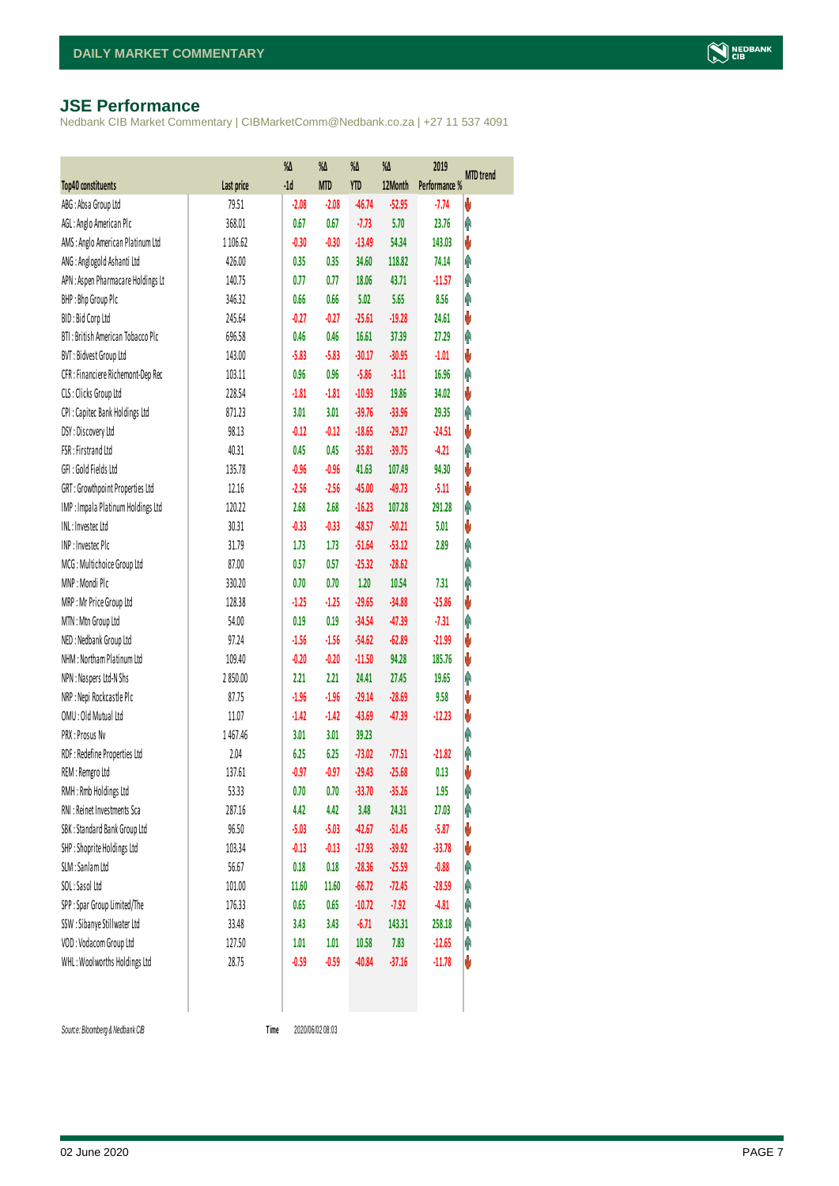#### <span id="page-6-0"></span>**JSE Performance**

Nedbank CIB Market Commentary | CIBMarketComm@Nedbank.co.za | +27 11 537 4091

|                                    |            | %Δ      | %Δ         | $\%$       | %Δ       | 2019          | <b>MTD</b> trend |
|------------------------------------|------------|---------|------------|------------|----------|---------------|------------------|
| Top40 constituents                 | Last price | $-1d$   | <b>MTD</b> | <b>YTD</b> | 12Month  | Performance % |                  |
| ABG: Absa Group Ltd                | 79.51      | $-2.08$ | $-2.08$    | $-46.74$   | $-52.95$ | $-7.74$       | ψ                |
| AGL: Anglo American Plc            | 368.01     | 0.67    | 0.67       | $-7.73$    | 5.70     | 23.76         | φ                |
| AMS: Anglo American Platinum Ltd   | 1 106.62   | $-0.30$ | $-0.30$    | $-13.49$   | 54.34    | 143.03        | V                |
| ANG: Anglogold Ashanti Ltd         | 426.00     | 0.35    | 0.35       | 34.60      | 118.82   | 74.14         | Ą                |
| APN : Aspen Pharmacare Holdings Lt | 140.75     | 0.77    | 0.77       | 18.06      | 43.71    | $-11.57$      | φ                |
| BHP: Bhp Group Plc                 | 346.32     | 0.66    | 0.66       | 5.02       | 5.65     | 8.56          | Ą                |
| BID: Bid Corp Ltd                  | 245.64     | $-0.27$ | $-0.27$    | $-25.61$   | $-19.28$ | 24.61         | V                |
| BTI: British American Tobacco Plc  | 696.58     | 0.46    | 0.46       | 16.61      | 37.39    | 27.29         | Ą                |
| BVT: Bidvest Group Ltd             | 143.00     | $-5.83$ | $-5.83$    | $-30.17$   | $-30.95$ | $-1.01$       | V                |
| CFR : Financiere Richemont-Dep Rec | 103.11     | 0.96    | 0.96       | $-5.86$    | $-3.11$  | 16.96         | Ą                |
| CLS : Clicks Group Ltd             | 228.54     | $-1.81$ | $-1.81$    | $-10.93$   | 19.86    | 34.02         | V                |
| CPI: Capitec Bank Holdings Ltd     | 871.23     | 3.01    | 3.01       | $-39.76$   | $-33.96$ | 29.35         | Ą                |
| DSY: Discovery Ltd                 | 98.13      | $-0.12$ | $-0.12$    | $-18.65$   | $-29.27$ | $-24.51$      | V                |
| FSR: Firstrand Ltd                 | 40.31      | 0.45    | 0.45       | $-35.81$   | $-39.75$ | $-4.21$       | Ą                |
| GFI: Gold Fields Ltd               | 135.78     | $-0.96$ | $-0.96$    | 41.63      | 107.49   | 94.30         | V                |
| GRT: Growthpoint Properties Ltd    | 12.16      | $-2.56$ | $-2.56$    | $-45.00$   | $-49.73$ | $-5.11$       | V                |
| IMP: Impala Platinum Holdings Ltd  | 120.22     | 2.68    | 2.68       | $-16.23$   | 107.28   | 291.28        | Ą                |
| INL: Investec Ltd                  | 30.31      | $-0.33$ | $-0.33$    | $-48.57$   | $-50.21$ | 5.01          | V                |
| INP: Invested Plc                  | 31.79      | 1.73    | 1.73       | $-51.64$   | $-53.12$ | 2.89          | Ą                |
| MCG: Multichoice Group Ltd         | 87.00      | 0.57    | 0.57       | $-25.32$   | $-28.62$ |               | φ                |
| MNP: Mondi Plc                     | 330.20     | 0.70    | 0.70       | 1.20       | 10.54    | 7.31          | Ą                |
| MRP: Mr Price Group Ltd            | 128.38     | $-1.25$ | $-1.25$    | $-29.65$   | $-34.88$ | $-25.86$      | V                |
| MTN: Mtn Group Ltd                 | 54.00      | 0.19    | 0.19       | $-34.54$   | $-47.39$ | $-7.31$       | Ą                |
| NED: Nedbank Group Ltd             | 97.24      | $-1.56$ | $-1.56$    | $-54.62$   | $-62.89$ | $-21.99$      | V                |
| NHM: Northam Platinum Ltd          | 109.40     | $-0.20$ | $-0.20$    | $-11.50$   | 94.28    | 185.76        | V                |
| NPN : Naspers Ltd-N Shs            | 2850.00    | 2.21    | 2.21       | 24.41      | 27.45    | 19.65         | φ                |
| NRP : Nepi Rockcastle Plc          | 87.75      | $-1.96$ | $-1.96$    | $-29.14$   | $-28.69$ | 9.58          | V                |
| OMU: Old Mutual Ltd                | 11.07      | $-1.42$ | $-1.42$    | $-43.69$   | $-47.39$ | $-12.23$      | V                |
| PRX: Prosus Nv                     | 1467.46    | 3.01    | 3.01       | 39.23      |          |               | φ                |
| RDF : Redefine Properties Ltd      | 2.04       | 6.25    | 6.25       | $-73.02$   | $-77.51$ | $-21.82$      | φ                |
| REM : Remgro Ltd                   | 137.61     | $-0.97$ | $-0.97$    | $-29.43$   | $-25.68$ | 0.13          | V                |
| RMH: Rmb Holdings Ltd              | 53.33      | 0.70    | 0.70       | $-33.70$   | $-35.26$ | 1.95          | f                |
| RNI : Reinet Investments Sca       | 287.16     | 4.42    | 4.42       | 3.48       | 24.31    | 27.03         | φ                |
| SBK: Standard Bank Group Ltd       | 96.50      | $-5.03$ | $-5.03$    | $-42.67$   | $-51.45$ | $-5.87$       | V                |
| SHP: Shoprite Holdings Ltd         | 103.34     | $-0.13$ | $-0.13$    | $-17.93$   | $-39.92$ | $-33.78$      | V                |
| SLM : Sanlam Ltd                   | 56.67      | 0.18    | 0.18       | $-28.36$   | $-25.59$ | $-0.88$       | φ                |
| SOL: Sasol Ltd                     | 101.00     | 11.60   | 11.60      | $-66.72$   | $-72.45$ | $-28.59$      | φ                |
| SPP: Spar Group Limited/The        | 176.33     | 0.65    | 0.65       | $-10.72$   | $-7.92$  | $-4.81$       | φ                |
| SSW : Sibanye Stillwater Ltd       | 33.48      | 3.43    | 3.43       | $-6.71$    | 143.31   | 258.18        | φ                |
| VOD: Vodacom Group Ltd             | 127.50     | 1.01    | 1.01       | 10.58      | 7.83     | $-12.65$      | φ                |
| WHL: Woolworths Holdings Ltd       | 28.75      | $-0.59$ | $-0.59$    | $-40.84$   | $-37.16$ | $-11.78$      | V                |
|                                    |            |         |            |            |          |               |                  |

 $Source: Bloomberg & Nedbank CB$ 

2020/06/02 08:03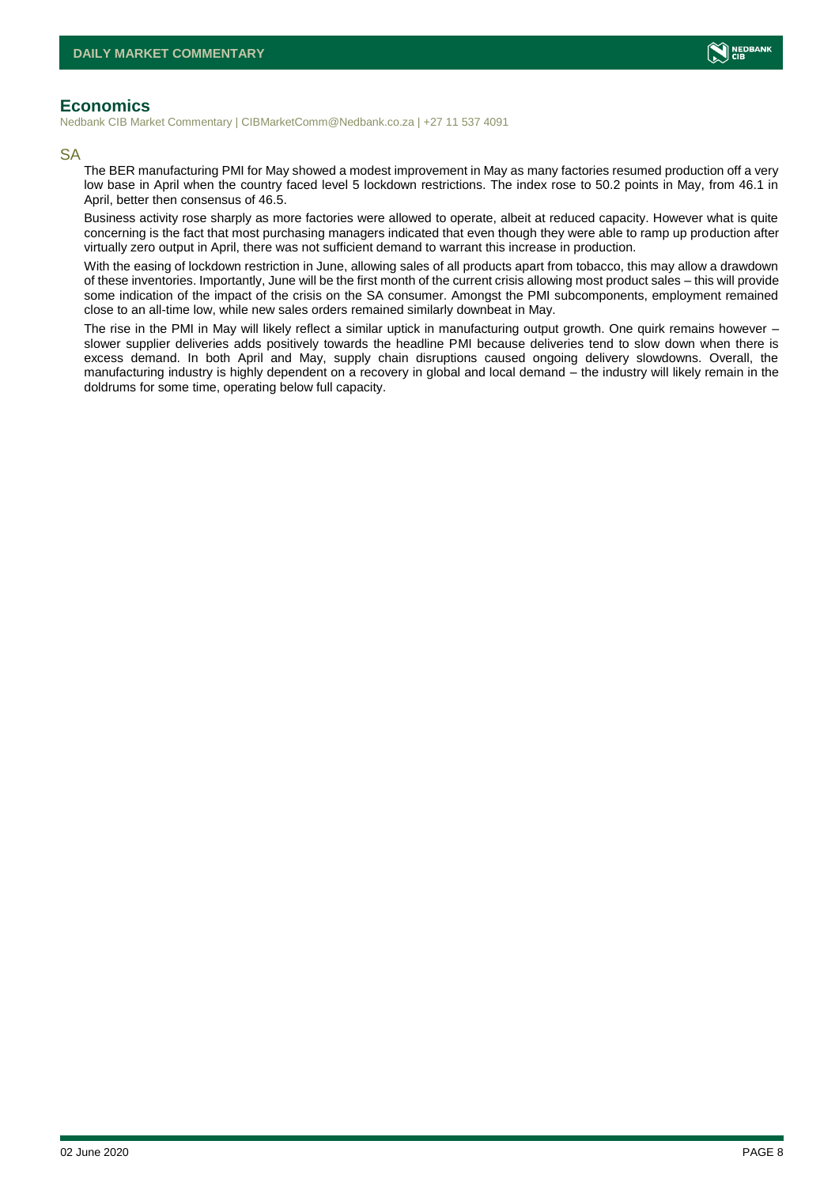

#### <span id="page-7-0"></span>**Economics**

Nedbank CIB Market Commentary | CIBMarketComm@Nedbank.co.za | +27 11 537 4091

#### SA

The BER manufacturing PMI for May showed a modest improvement in May as many factories resumed production off a very low base in April when the country faced level 5 lockdown restrictions. The index rose to 50.2 points in May, from 46.1 in April, better then consensus of 46.5.

Business activity rose sharply as more factories were allowed to operate, albeit at reduced capacity. However what is quite concerning is the fact that most purchasing managers indicated that even though they were able to ramp up production after virtually zero output in April, there was not sufficient demand to warrant this increase in production.

With the easing of lockdown restriction in June, allowing sales of all products apart from tobacco, this may allow a drawdown of these inventories. Importantly, June will be the first month of the current crisis allowing most product sales – this will provide some indication of the impact of the crisis on the SA consumer. Amongst the PMI subcomponents, employment remained close to an all-time low, while new sales orders remained similarly downbeat in May.

The rise in the PMI in May will likely reflect a similar uptick in manufacturing output growth. One quirk remains however – slower supplier deliveries adds positively towards the headline PMI because deliveries tend to slow down when there is excess demand. In both April and May, supply chain disruptions caused ongoing delivery slowdowns. Overall, the manufacturing industry is highly dependent on a recovery in global and local demand – the industry will likely remain in the doldrums for some time, operating below full capacity.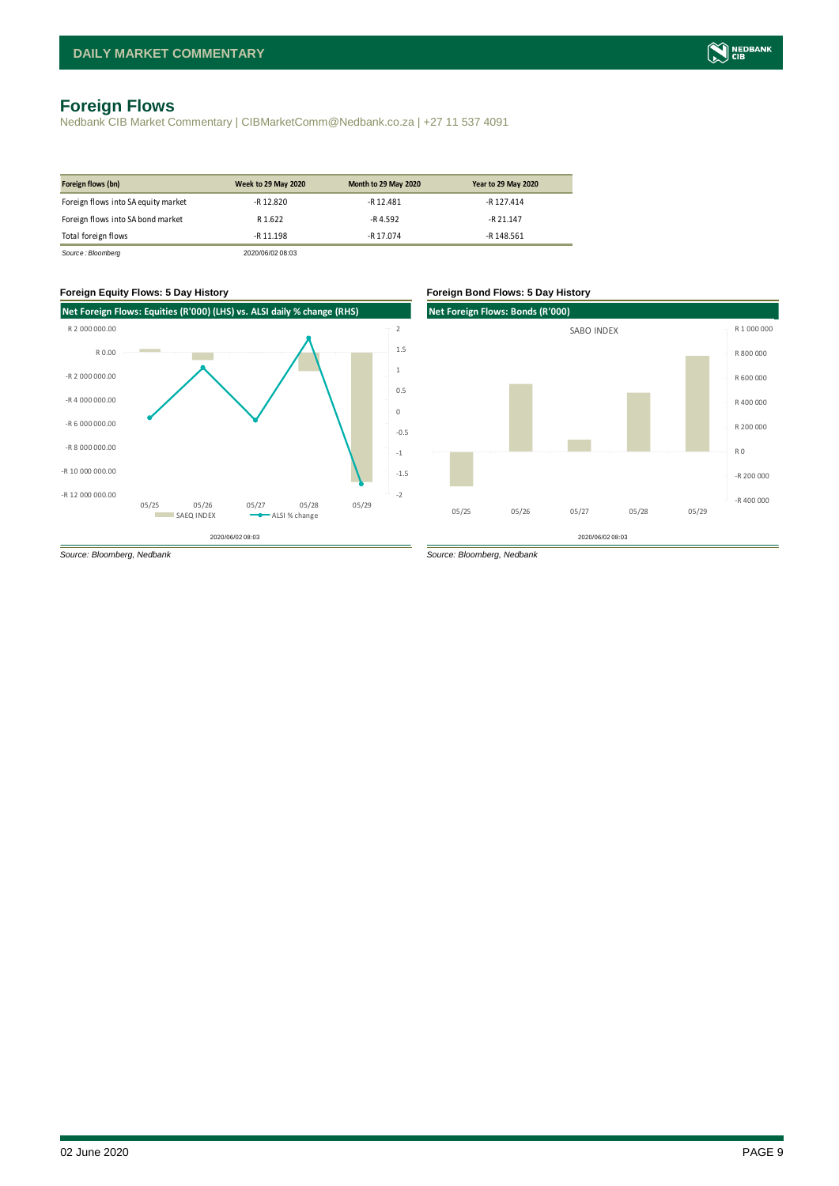### <span id="page-8-0"></span>**Foreign Flows**

Nedbank CIB Market Commentary | CIBMarketComm@Nedbank.co.za | +27 11 537 4091

| Foreign flows (bn)                  | <b>Week to 29 May 2020</b> | Month to 29 May 2020 | <b>Year to 29 May 2020</b> |
|-------------------------------------|----------------------------|----------------------|----------------------------|
| Foreign flows into SA equity market | $-R$ 12.820                | $-R$ 12.481          | -R 127.414                 |
| Foreign flows into SA bond market   | R 1.622                    | $-R$ 4.592           | $-R$ 21.147                |
| Total foreign flows                 | $-R$ 11.198                | -R 17.074            | -R 148.561                 |
| Source: Bloomberg                   | 2020/06/02 08:03           |                      |                            |



# **Net Foreign Flows: Bonds (R'000)**  2020/06/02 08:03 -R 400 000 -R 200 000 R 0 R 200 000 R 400 000 R 600 000 R 800 000 R 1 000 000 05/25 05/26 05/27 05/28 05/29 SABO INDEX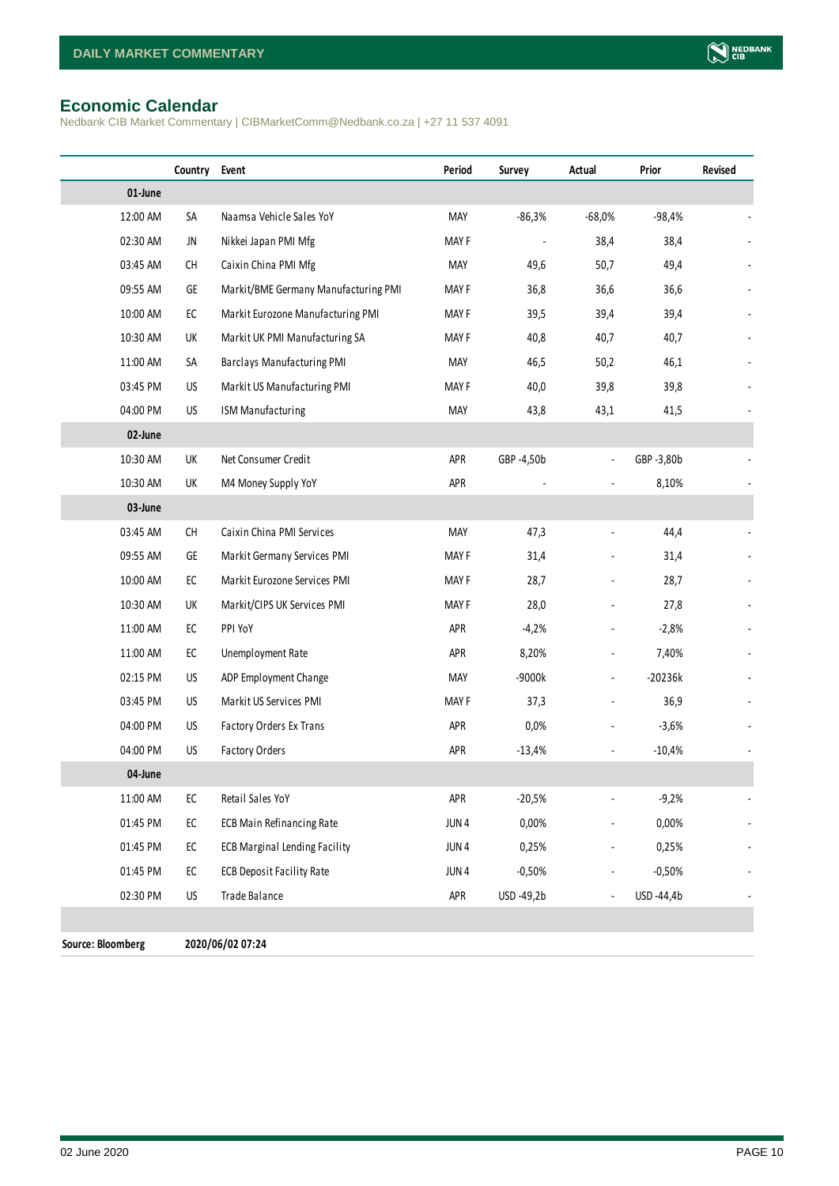#### <span id="page-9-0"></span>**Economic Calendar**

Nedbank CIB Market Commentary | CIBMarketComm@Nedbank.co.za | +27 11 537 4091

|                   | Country                                                                                 | Event                                | Period           | Survey     | Actual                   | Prior      | Revised |
|-------------------|-----------------------------------------------------------------------------------------|--------------------------------------|------------------|------------|--------------------------|------------|---------|
| 01-June           |                                                                                         |                                      |                  |            |                          |            |         |
| 12:00 AM          | SA                                                                                      | Naamsa Vehicle Sales YoY             | MAY              | $-86,3%$   | $-68,0%$                 | $-98,4%$   |         |
| 02:30 AM          | JN                                                                                      | Nikkei Japan PMI Mfg                 | MAY F            |            | 38,4                     | 38,4       |         |
| 03:45 AM          | CH                                                                                      | Caixin China PMI Mfg                 | MAY              | 49,6       | 50,7                     | 49,4       |         |
| 09:55 AM          | GE                                                                                      | Markit/BME Germany Manufacturing PMI | MAY F            | 36,8       | 36,6                     | 36,6       |         |
| 10:00 AM          | EC                                                                                      | Markit Eurozone Manufacturing PMI    | MAY F            | 39,5       | 39,4                     | 39,4       |         |
| 10:30 AM          | UK                                                                                      | Markit UK PMI Manufacturing SA       | MAY F            | 40,8       | 40,7                     | 40,7       |         |
| 11:00 AM          | SA                                                                                      | <b>Barclays Manufacturing PMI</b>    | MAY              | 46,5       | 50,2                     | 46,1       |         |
| 03:45 PM          | US                                                                                      | Markit US Manufacturing PMI          | MAY F            | 40,0       | 39,8                     | 39,8       |         |
| 04:00 PM          | US                                                                                      | ISM Manufacturing                    | MAY              | 43,8       | 43,1                     | 41,5       |         |
| 02-June           |                                                                                         |                                      |                  |            |                          |            |         |
| 10:30 AM          | UK                                                                                      | Net Consumer Credit                  | APR              | GBP -4,50b | $\overline{\phantom{a}}$ | GBP -3,80b |         |
| 10:30 AM          | UK                                                                                      | M4 Money Supply YoY                  | APR              |            |                          | 8,10%      |         |
| 03-June           |                                                                                         |                                      |                  |            |                          |            |         |
| 03:45 AM          | $\mathsf{CH}% \left( \mathcal{M}\right) \equiv\mathsf{CH}^{3}\left( \mathcal{M}\right)$ | Caixin China PMI Services            | MAY              | 47,3       |                          | 44,4       |         |
| 09:55 AM          | GE                                                                                      | Markit Germany Services PMI          | MAY F            | 31,4       |                          | 31,4       |         |
| 10:00 AM          | EC                                                                                      | Markit Eurozone Services PMI         | MAY F            | 28,7       | ÷,                       | 28,7       |         |
| 10:30 AM          | UK                                                                                      | Markit/CIPS UK Services PMI          | MAY F            | 28,0       |                          | 27,8       |         |
| 11:00 AM          | EC                                                                                      | PPI YoY                              | APR              | $-4,2%$    | $\blacksquare$           | $-2,8%$    |         |
| 11:00 AM          | EC                                                                                      | Unemployment Rate                    | APR              | 8,20%      | $\blacksquare$           | 7,40%      |         |
| 02:15 PM          | US                                                                                      | ADP Employment Change                | MAY              | -9000k     | ÷,                       | $-20236k$  |         |
| 03:45 PM          | <b>US</b>                                                                               | Markit US Services PMI               | MAY F            | 37,3       | $\overline{\phantom{a}}$ | 36,9       |         |
| 04:00 PM          | US                                                                                      | Factory Orders Ex Trans              | APR              | $0,0\%$    |                          | $-3,6%$    |         |
| 04:00 PM          | <b>US</b>                                                                               | Factory Orders                       | APR              | $-13,4%$   | $\blacksquare$           | $-10,4%$   |         |
| 04-June           |                                                                                         |                                      |                  |            |                          |            |         |
| 11:00 AM          | ${\sf EC}$                                                                              | Retail Sales YoY                     | APR              | $-20,5%$   | $\overline{\phantom{a}}$ | $-9,2%$    |         |
| 01:45 PM          | ${\sf EC}$                                                                              | <b>ECB Main Refinancing Rate</b>     | JUN <sub>4</sub> | 0,00%      |                          | 0,00%      |         |
| 01:45 PM          | ${\sf EC}$                                                                              | <b>ECB Marginal Lending Facility</b> | JUN <sub>4</sub> | 0,25%      |                          | 0,25%      |         |
| 01:45 PM          | ${\sf EC}$                                                                              | <b>ECB Deposit Facility Rate</b>     | JUN <sub>4</sub> | $-0,50%$   |                          | $-0,50%$   |         |
| 02:30 PM          | US                                                                                      | Trade Balance                        | APR              | USD -49,2b |                          | USD -44,4b |         |
|                   |                                                                                         |                                      |                  |            |                          |            |         |
| Source: Bloomberg |                                                                                         | 2020/06/02 07:24                     |                  |            |                          |            |         |